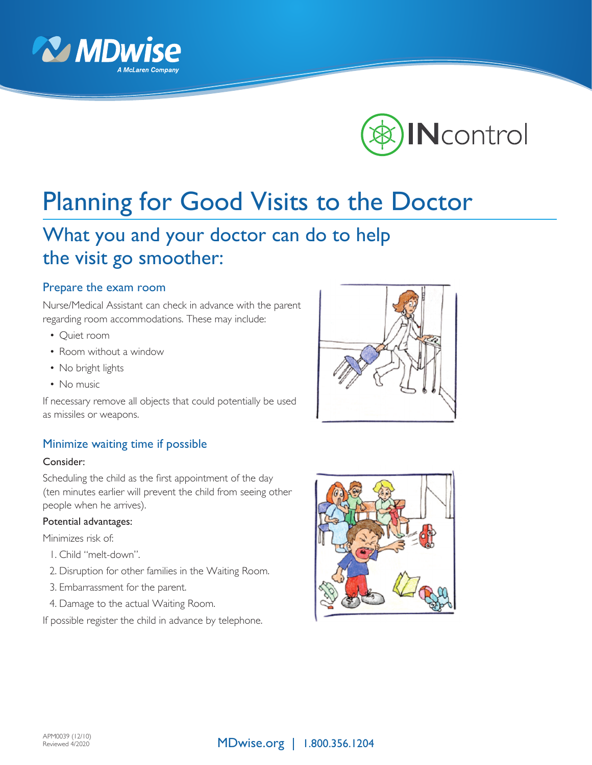



# Planning for Good Visits to the Doctor

# What you and your doctor can do to help the visit go smoother:

### Prepare the exam room

Nurse/Medical Assistant can check in advance with the parent regarding room accommodations. These may include:

- Quiet room
- Room without a window
- No bright lights
- No music

If necessary remove all objects that could potentially be used as missiles or weapons.

#### Minimize waiting time if possible

#### Consider:

Scheduling the child as the first appointment of the day (ten minutes earlier will prevent the child from seeing other people when he arrives).

#### Potential advantages:

Minimizes risk of:

- 1. Child "melt-down".
- 2. Disruption for other families in the Waiting Room.
- 3. Embarrassment for the parent.
- 4. Damage to the actual Waiting Room.

If possible register the child in advance by telephone.